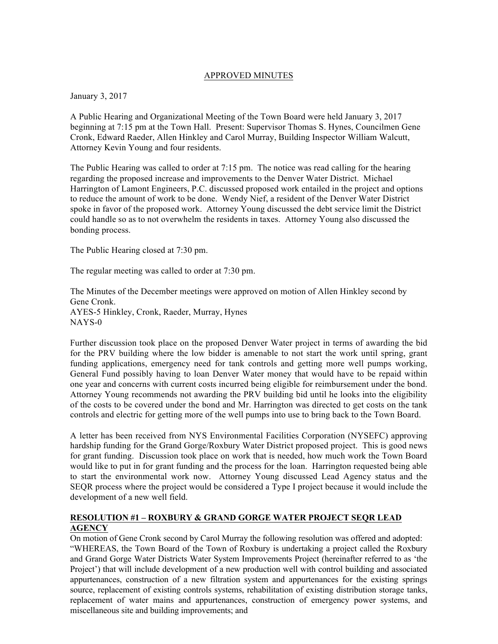#### APPROVED MINUTES

January 3, 2017

A Public Hearing and Organizational Meeting of the Town Board were held January 3, 2017 beginning at 7:15 pm at the Town Hall. Present: Supervisor Thomas S. Hynes, Councilmen Gene Cronk, Edward Raeder, Allen Hinkley and Carol Murray, Building Inspector William Walcutt, Attorney Kevin Young and four residents.

The Public Hearing was called to order at 7:15 pm. The notice was read calling for the hearing regarding the proposed increase and improvements to the Denver Water District. Michael Harrington of Lamont Engineers, P.C. discussed proposed work entailed in the project and options to reduce the amount of work to be done. Wendy Nief, a resident of the Denver Water District spoke in favor of the proposed work. Attorney Young discussed the debt service limit the District could handle so as to not overwhelm the residents in taxes. Attorney Young also discussed the bonding process.

The Public Hearing closed at 7:30 pm.

The regular meeting was called to order at 7:30 pm.

The Minutes of the December meetings were approved on motion of Allen Hinkley second by Gene Cronk. AYES-5 Hinkley, Cronk, Raeder, Murray, Hynes NAYS-0

Further discussion took place on the proposed Denver Water project in terms of awarding the bid for the PRV building where the low bidder is amenable to not start the work until spring, grant funding applications, emergency need for tank controls and getting more well pumps working, General Fund possibly having to loan Denver Water money that would have to be repaid within one year and concerns with current costs incurred being eligible for reimbursement under the bond. Attorney Young recommends not awarding the PRV building bid until he looks into the eligibility of the costs to be covered under the bond and Mr. Harrington was directed to get costs on the tank controls and electric for getting more of the well pumps into use to bring back to the Town Board.

A letter has been received from NYS Environmental Facilities Corporation (NYSEFC) approving hardship funding for the Grand Gorge/Roxbury Water District proposed project. This is good news for grant funding. Discussion took place on work that is needed, how much work the Town Board would like to put in for grant funding and the process for the loan. Harrington requested being able to start the environmental work now. Attorney Young discussed Lead Agency status and the SEQR process where the project would be considered a Type I project because it would include the development of a new well field.

#### **RESOLUTION #1 – ROXBURY & GRAND GORGE WATER PROJECT SEQR LEAD AGENCY**

On motion of Gene Cronk second by Carol Murray the following resolution was offered and adopted: "WHEREAS, the Town Board of the Town of Roxbury is undertaking a project called the Roxbury and Grand Gorge Water Districts Water System Improvements Project (hereinafter referred to as 'the Project') that will include development of a new production well with control building and associated appurtenances, construction of a new filtration system and appurtenances for the existing springs source, replacement of existing controls systems, rehabilitation of existing distribution storage tanks, replacement of water mains and appurtenances, construction of emergency power systems, and miscellaneous site and building improvements; and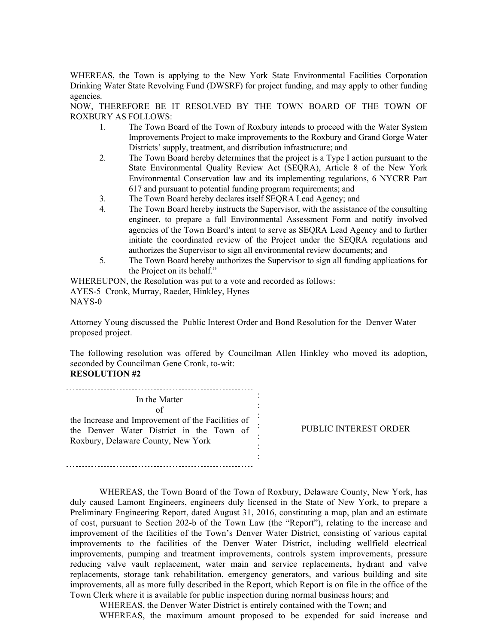WHEREAS, the Town is applying to the New York State Environmental Facilities Corporation Drinking Water State Revolving Fund (DWSRF) for project funding, and may apply to other funding agencies.

NOW, THEREFORE BE IT RESOLVED BY THE TOWN BOARD OF THE TOWN OF ROXBURY AS FOLLOWS:

- 1. The Town Board of the Town of Roxbury intends to proceed with the Water System Improvements Project to make improvements to the Roxbury and Grand Gorge Water Districts' supply, treatment, and distribution infrastructure; and
- 2. The Town Board hereby determines that the project is a Type I action pursuant to the State Environmental Quality Review Act (SEQRA), Article 8 of the New York Environmental Conservation law and its implementing regulations, 6 NYCRR Part 617 and pursuant to potential funding program requirements; and
- 3. The Town Board hereby declares itself SEQRA Lead Agency; and
- 4. The Town Board hereby instructs the Supervisor, with the assistance of the consulting engineer, to prepare a full Environmental Assessment Form and notify involved agencies of the Town Board's intent to serve as SEQRA Lead Agency and to further initiate the coordinated review of the Project under the SEQRA regulations and authorizes the Supervisor to sign all environmental review documents; and
- 5. The Town Board hereby authorizes the Supervisor to sign all funding applications for the Project on its behalf."

WHEREUPON, the Resolution was put to a vote and recorded as follows: AYES-5 Cronk, Murray, Raeder, Hinkley, Hynes NAYS-0

Attorney Young discussed the Public Interest Order and Bond Resolution for the Denver Water proposed project.

The following resolution was offered by Councilman Allen Hinkley who moved its adoption, seconded by Councilman Gene Cronk, to-wit: **RESOLUTION #2**

: In the Matter : of : the Increase and Improvement of the Facilities of : the Denver Water District in the Town of : Roxbury, Delaware County, New York :

PUBLIC INTEREST ORDER

WHEREAS, the Town Board of the Town of Roxbury, Delaware County, New York, has duly caused Lamont Engineers, engineers duly licensed in the State of New York, to prepare a Preliminary Engineering Report, dated August 31, 2016, constituting a map, plan and an estimate of cost, pursuant to Section 202-b of the Town Law (the "Report"), relating to the increase and improvement of the facilities of the Town's Denver Water District, consisting of various capital improvements to the facilities of the Denver Water District, including wellfield electrical improvements, pumping and treatment improvements, controls system improvements, pressure reducing valve vault replacement, water main and service replacements, hydrant and valve replacements, storage tank rehabilitation, emergency generators, and various building and site improvements, all as more fully described in the Report, which Report is on file in the office of the Town Clerk where it is available for public inspection during normal business hours; and

:

WHEREAS, the Denver Water District is entirely contained with the Town; and WHEREAS, the maximum amount proposed to be expended for said increase and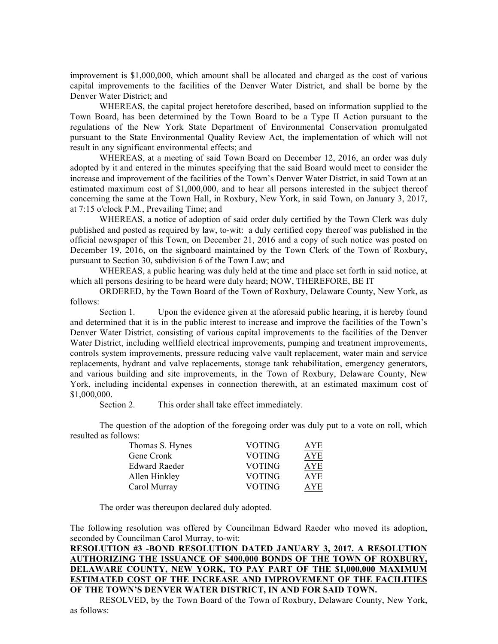improvement is \$1,000,000, which amount shall be allocated and charged as the cost of various capital improvements to the facilities of the Denver Water District, and shall be borne by the Denver Water District; and

WHEREAS, the capital project heretofore described, based on information supplied to the Town Board, has been determined by the Town Board to be a Type II Action pursuant to the regulations of the New York State Department of Environmental Conservation promulgated pursuant to the State Environmental Quality Review Act, the implementation of which will not result in any significant environmental effects; and

WHEREAS, at a meeting of said Town Board on December 12, 2016, an order was duly adopted by it and entered in the minutes specifying that the said Board would meet to consider the increase and improvement of the facilities of the Town's Denver Water District, in said Town at an estimated maximum cost of \$1,000,000, and to hear all persons interested in the subject thereof concerning the same at the Town Hall, in Roxbury, New York, in said Town, on January 3, 2017, at 7:15 o'clock P.M., Prevailing Time; and

WHEREAS, a notice of adoption of said order duly certified by the Town Clerk was duly published and posted as required by law, to-wit: a duly certified copy thereof was published in the official newspaper of this Town, on December 21, 2016 and a copy of such notice was posted on December 19, 2016, on the signboard maintained by the Town Clerk of the Town of Roxbury, pursuant to Section 30, subdivision 6 of the Town Law; and

WHEREAS, a public hearing was duly held at the time and place set forth in said notice, at which all persons desiring to be heard were duly heard; NOW, THEREFORE, BE IT

ORDERED, by the Town Board of the Town of Roxbury, Delaware County, New York, as follows:

Section 1. Upon the evidence given at the aforesaid public hearing, it is hereby found and determined that it is in the public interest to increase and improve the facilities of the Town's Denver Water District, consisting of various capital improvements to the facilities of the Denver Water District, including wellfield electrical improvements, pumping and treatment improvements, controls system improvements, pressure reducing valve vault replacement, water main and service replacements, hydrant and valve replacements, storage tank rehabilitation, emergency generators, and various building and site improvements, in the Town of Roxbury, Delaware County, New York, including incidental expenses in connection therewith, at an estimated maximum cost of \$1,000,000.

Section 2. This order shall take effect immediately.

The question of the adoption of the foregoing order was duly put to a vote on roll, which resulted as follows:

| Thomas S. Hynes      | <b>VOTING</b> | AYE        |
|----------------------|---------------|------------|
| Gene Cronk           | <b>VOTING</b> | <b>AYE</b> |
| <b>Edward Raeder</b> | VOTING        | <b>AYE</b> |
| Allen Hinkley        | VOTING        | <b>AYE</b> |
| Carol Murray         | <b>VOTING</b> | AYE.       |

The order was thereupon declared duly adopted.

The following resolution was offered by Councilman Edward Raeder who moved its adoption, seconded by Councilman Carol Murray, to-wit:

## **RESOLUTION #3 -BOND RESOLUTION DATED JANUARY 3, 2017. A RESOLUTION AUTHORIZING THE ISSUANCE OF \$400,000 BONDS OF THE TOWN OF ROXBURY, DELAWARE COUNTY, NEW YORK, TO PAY PART OF THE \$1,000,000 MAXIMUM ESTIMATED COST OF THE INCREASE AND IMPROVEMENT OF THE FACILITIES OF THE TOWN'S DENVER WATER DISTRICT, IN AND FOR SAID TOWN.**

RESOLVED, by the Town Board of the Town of Roxbury, Delaware County, New York, as follows: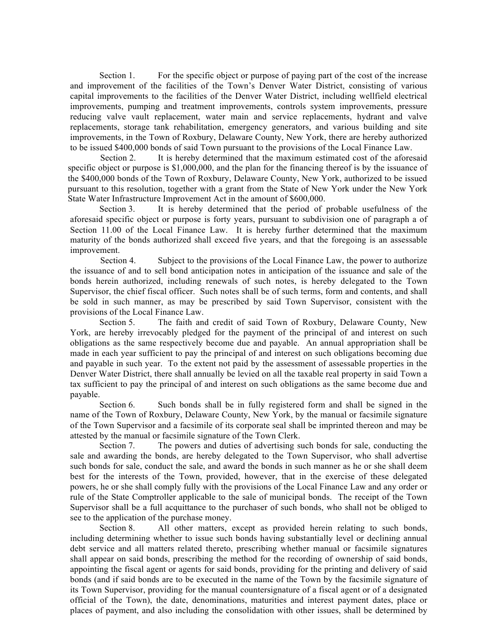Section 1. For the specific object or purpose of paying part of the cost of the increase and improvement of the facilities of the Town's Denver Water District, consisting of various capital improvements to the facilities of the Denver Water District, including wellfield electrical improvements, pumping and treatment improvements, controls system improvements, pressure reducing valve vault replacement, water main and service replacements, hydrant and valve replacements, storage tank rehabilitation, emergency generators, and various building and site improvements, in the Town of Roxbury, Delaware County, New York, there are hereby authorized to be issued \$400,000 bonds of said Town pursuant to the provisions of the Local Finance Law.

Section 2. It is hereby determined that the maximum estimated cost of the aforesaid specific object or purpose is \$1,000,000, and the plan for the financing thereof is by the issuance of the \$400,000 bonds of the Town of Roxbury, Delaware County, New York, authorized to be issued pursuant to this resolution, together with a grant from the State of New York under the New York State Water Infrastructure Improvement Act in the amount of \$600,000.

Section 3. It is hereby determined that the period of probable usefulness of the aforesaid specific object or purpose is forty years, pursuant to subdivision one of paragraph a of Section 11.00 of the Local Finance Law. It is hereby further determined that the maximum maturity of the bonds authorized shall exceed five years, and that the foregoing is an assessable improvement.

Section 4. Subject to the provisions of the Local Finance Law, the power to authorize the issuance of and to sell bond anticipation notes in anticipation of the issuance and sale of the bonds herein authorized, including renewals of such notes, is hereby delegated to the Town Supervisor, the chief fiscal officer. Such notes shall be of such terms, form and contents, and shall be sold in such manner, as may be prescribed by said Town Supervisor, consistent with the provisions of the Local Finance Law.

Section 5. The faith and credit of said Town of Roxbury, Delaware County, New York, are hereby irrevocably pledged for the payment of the principal of and interest on such obligations as the same respectively become due and payable. An annual appropriation shall be made in each year sufficient to pay the principal of and interest on such obligations becoming due and payable in such year. To the extent not paid by the assessment of assessable properties in the Denver Water District, there shall annually be levied on all the taxable real property in said Town a tax sufficient to pay the principal of and interest on such obligations as the same become due and payable.

Section 6. Such bonds shall be in fully registered form and shall be signed in the name of the Town of Roxbury, Delaware County, New York, by the manual or facsimile signature of the Town Supervisor and a facsimile of its corporate seal shall be imprinted thereon and may be attested by the manual or facsimile signature of the Town Clerk.

Section 7. The powers and duties of advertising such bonds for sale, conducting the sale and awarding the bonds, are hereby delegated to the Town Supervisor, who shall advertise such bonds for sale, conduct the sale, and award the bonds in such manner as he or she shall deem best for the interests of the Town, provided, however, that in the exercise of these delegated powers, he or she shall comply fully with the provisions of the Local Finance Law and any order or rule of the State Comptroller applicable to the sale of municipal bonds. The receipt of the Town Supervisor shall be a full acquittance to the purchaser of such bonds, who shall not be obliged to see to the application of the purchase money.

Section 8. All other matters, except as provided herein relating to such bonds, including determining whether to issue such bonds having substantially level or declining annual debt service and all matters related thereto, prescribing whether manual or facsimile signatures shall appear on said bonds, prescribing the method for the recording of ownership of said bonds, appointing the fiscal agent or agents for said bonds, providing for the printing and delivery of said bonds (and if said bonds are to be executed in the name of the Town by the facsimile signature of its Town Supervisor, providing for the manual countersignature of a fiscal agent or of a designated official of the Town), the date, denominations, maturities and interest payment dates, place or places of payment, and also including the consolidation with other issues, shall be determined by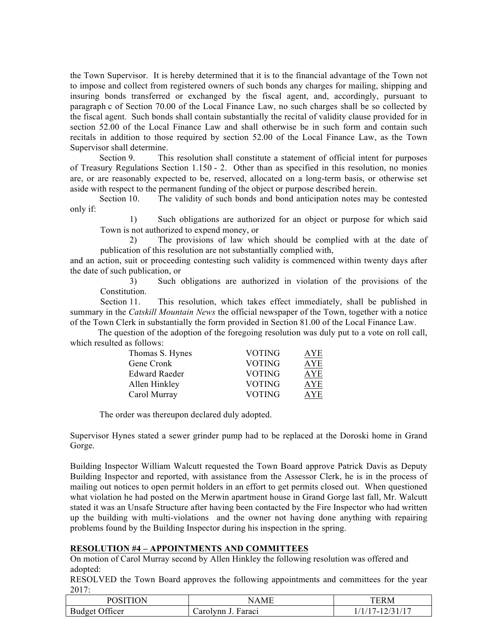the Town Supervisor. It is hereby determined that it is to the financial advantage of the Town not to impose and collect from registered owners of such bonds any charges for mailing, shipping and insuring bonds transferred or exchanged by the fiscal agent, and, accordingly, pursuant to paragraph c of Section 70.00 of the Local Finance Law, no such charges shall be so collected by the fiscal agent. Such bonds shall contain substantially the recital of validity clause provided for in section 52.00 of the Local Finance Law and shall otherwise be in such form and contain such recitals in addition to those required by section 52.00 of the Local Finance Law, as the Town Supervisor shall determine.

Section 9. This resolution shall constitute a statement of official intent for purposes of Treasury Regulations Section 1.150 - 2. Other than as specified in this resolution, no monies are, or are reasonably expected to be, reserved, allocated on a long-term basis, or otherwise set aside with respect to the permanent funding of the object or purpose described herein.

Section 10. The validity of such bonds and bond anticipation notes may be contested only if:

1) Such obligations are authorized for an object or purpose for which said Town is not authorized to expend money, or

2) The provisions of law which should be complied with at the date of publication of this resolution are not substantially complied with,

and an action, suit or proceeding contesting such validity is commenced within twenty days after the date of such publication, or

3) Such obligations are authorized in violation of the provisions of the Constitution.

Section 11. This resolution, which takes effect immediately, shall be published in summary in the *Catskill Mountain News* the official newspaper of the Town, together with a notice of the Town Clerk in substantially the form provided in Section 81.00 of the Local Finance Law.

The question of the adoption of the foregoing resolution was duly put to a vote on roll call, which resulted as follows:

| Thomas S. Hynes      | VOTING        | AYE        |
|----------------------|---------------|------------|
| Gene Cronk           | <b>VOTING</b> | AYE        |
| <b>Edward Raeder</b> | VOTING        | <b>AYE</b> |
| Allen Hinkley        | VOTING        | <b>AYE</b> |
| Carol Murray         | <b>VOTING</b> | AYE        |

The order was thereupon declared duly adopted.

Supervisor Hynes stated a sewer grinder pump had to be replaced at the Doroski home in Grand Gorge.

Building Inspector William Walcutt requested the Town Board approve Patrick Davis as Deputy Building Inspector and reported, with assistance from the Assessor Clerk, he is in the process of mailing out notices to open permit holders in an effort to get permits closed out. When questioned what violation he had posted on the Merwin apartment house in Grand Gorge last fall, Mr. Walcutt stated it was an Unsafe Structure after having been contacted by the Fire Inspector who had written up the building with multi-violations and the owner not having done anything with repairing problems found by the Building Inspector during his inspection in the spring.

#### **RESOLUTION #4 – APPOINTMENTS AND COMMITTEES**

On motion of Carol Murray second by Allen Hinkley the following resolution was offered and adopted:

RESOLVED the Town Board approves the following appointments and committees for the year 2017:

| POSITION              | $A$ MF             | TERM         |
|-----------------------|--------------------|--------------|
| <b>Budget Officer</b> | Carolynn J. Faracı | $\prime$ $-$ |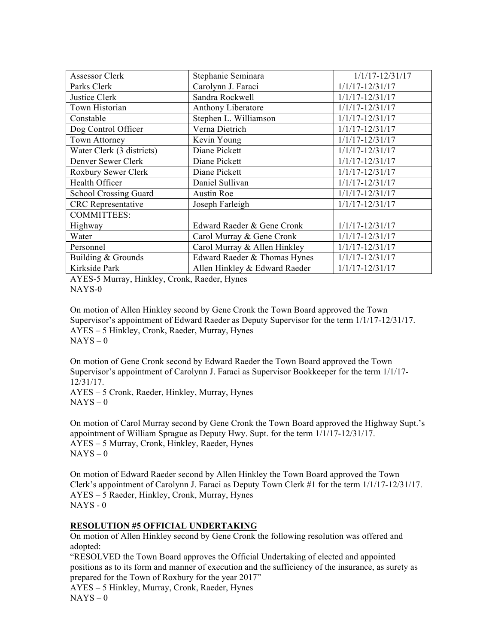| <b>Assessor Clerk</b>        | Stephanie Seminara            | $1/1/17 - 12/31/17$ |
|------------------------------|-------------------------------|---------------------|
| Parks Clerk                  | Carolynn J. Faraci            | $1/1/17 - 12/31/17$ |
| Justice Clerk                | Sandra Rockwell               | $1/1/17 - 12/31/17$ |
| Town Historian               | Anthony Liberatore            | $1/1/17 - 12/31/17$ |
| Constable                    | Stephen L. Williamson         | $1/1/17 - 12/31/17$ |
| Dog Control Officer          | Verna Dietrich                | $1/1/17 - 12/31/17$ |
| <b>Town Attorney</b>         | Kevin Young                   | $1/1/17 - 12/31/17$ |
| Water Clerk (3 districts)    | Diane Pickett                 | $1/1/17 - 12/31/17$ |
| Denver Sewer Clerk           | Diane Pickett                 | $1/1/17 - 12/31/17$ |
| Roxbury Sewer Clerk          | Diane Pickett                 | $1/1/17 - 12/31/17$ |
| Health Officer               | Daniel Sullivan               | $1/1/17 - 12/31/17$ |
| <b>School Crossing Guard</b> | <b>Austin Roe</b>             | $1/1/17 - 12/31/17$ |
| <b>CRC</b> Representative    | Joseph Farleigh               | $1/1/17 - 12/31/17$ |
| <b>COMMITTEES:</b>           |                               |                     |
| Highway                      | Edward Raeder & Gene Cronk    | $1/1/17 - 12/31/17$ |
| Water                        | Carol Murray & Gene Cronk     | $1/1/17 - 12/31/17$ |
| Personnel                    | Carol Murray & Allen Hinkley  | $1/1/17 - 12/31/17$ |
| Building & Grounds           | Edward Raeder & Thomas Hynes  | $1/1/17 - 12/31/17$ |
| Kirkside Park                | Allen Hinkley & Edward Raeder | $1/1/17 - 12/31/17$ |

AYES-5 Murray, Hinkley, Cronk, Raeder, Hynes NAYS-0

On motion of Allen Hinkley second by Gene Cronk the Town Board approved the Town Supervisor's appointment of Edward Raeder as Deputy Supervisor for the term 1/1/17-12/31/17. AYES – 5 Hinkley, Cronk, Raeder, Murray, Hynes  $NAYS - 0$ 

On motion of Gene Cronk second by Edward Raeder the Town Board approved the Town Supervisor's appointment of Carolynn J. Faraci as Supervisor Bookkeeper for the term 1/1/17- 12/31/17.

AYES – 5 Cronk, Raeder, Hinkley, Murray, Hynes  $NAYS - 0$ 

On motion of Carol Murray second by Gene Cronk the Town Board approved the Highway Supt.'s appointment of William Sprague as Deputy Hwy. Supt. for the term 1/1/17-12/31/17. AYES – 5 Murray, Cronk, Hinkley, Raeder, Hynes  $NAYS - 0$ 

On motion of Edward Raeder second by Allen Hinkley the Town Board approved the Town Clerk's appointment of Carolynn J. Faraci as Deputy Town Clerk #1 for the term 1/1/17-12/31/17. AYES – 5 Raeder, Hinkley, Cronk, Murray, Hynes  $NAYS - 0$ 

## **RESOLUTION #5 OFFICIAL UNDERTAKING**

On motion of Allen Hinkley second by Gene Cronk the following resolution was offered and adopted:

"RESOLVED the Town Board approves the Official Undertaking of elected and appointed positions as to its form and manner of execution and the sufficiency of the insurance, as surety as prepared for the Town of Roxbury for the year 2017"

AYES – 5 Hinkley, Murray, Cronk, Raeder, Hynes

 $NAYS - 0$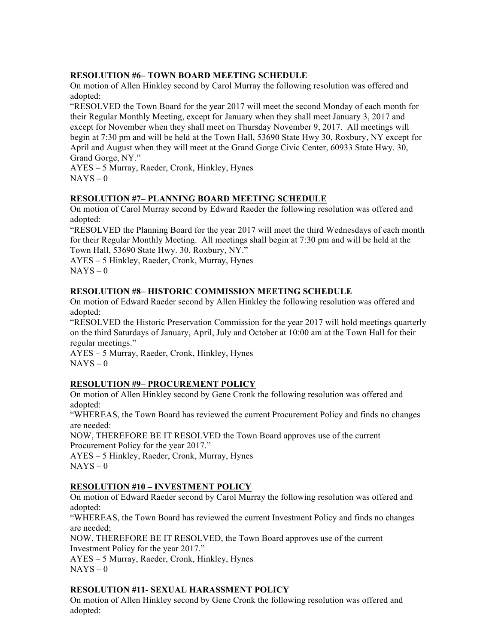## **RESOLUTION #6– TOWN BOARD MEETING SCHEDULE**

On motion of Allen Hinkley second by Carol Murray the following resolution was offered and adopted:

"RESOLVED the Town Board for the year 2017 will meet the second Monday of each month for their Regular Monthly Meeting, except for January when they shall meet January 3, 2017 and except for November when they shall meet on Thursday November 9, 2017. All meetings will begin at 7:30 pm and will be held at the Town Hall, 53690 State Hwy 30, Roxbury, NY except for April and August when they will meet at the Grand Gorge Civic Center, 60933 State Hwy. 30, Grand Gorge, NY."

AYES – 5 Murray, Raeder, Cronk, Hinkley, Hynes  $NAYS - 0$ 

## **RESOLUTION #7– PLANNING BOARD MEETING SCHEDULE**

On motion of Carol Murray second by Edward Raeder the following resolution was offered and adopted:

"RESOLVED the Planning Board for the year 2017 will meet the third Wednesdays of each month for their Regular Monthly Meeting. All meetings shall begin at 7:30 pm and will be held at the Town Hall, 53690 State Hwy. 30, Roxbury, NY."

AYES – 5 Hinkley, Raeder, Cronk, Murray, Hynes  $NAYS - 0$ 

## **RESOLUTION #8– HISTORIC COMMISSION MEETING SCHEDULE**

On motion of Edward Raeder second by Allen Hinkley the following resolution was offered and adopted:

"RESOLVED the Historic Preservation Commission for the year 2017 will hold meetings quarterly on the third Saturdays of January, April, July and October at 10:00 am at the Town Hall for their regular meetings."

AYES – 5 Murray, Raeder, Cronk, Hinkley, Hynes  $NAYS - 0$ 

#### **RESOLUTION #9– PROCUREMENT POLICY**

On motion of Allen Hinkley second by Gene Cronk the following resolution was offered and adopted:

"WHEREAS, the Town Board has reviewed the current Procurement Policy and finds no changes are needed:

NOW, THEREFORE BE IT RESOLVED the Town Board approves use of the current Procurement Policy for the year 2017."

AYES – 5 Hinkley, Raeder, Cronk, Murray, Hynes  $NAYS - 0$ 

#### **RESOLUTION #10 – INVESTMENT POLICY**

On motion of Edward Raeder second by Carol Murray the following resolution was offered and adopted:

"WHEREAS, the Town Board has reviewed the current Investment Policy and finds no changes are needed;

NOW, THEREFORE BE IT RESOLVED, the Town Board approves use of the current Investment Policy for the year 2017."

AYES – 5 Murray, Raeder, Cronk, Hinkley, Hynes  $NAYS - 0$ 

## **RESOLUTION #11- SEXUAL HARASSMENT POLICY**

On motion of Allen Hinkley second by Gene Cronk the following resolution was offered and adopted: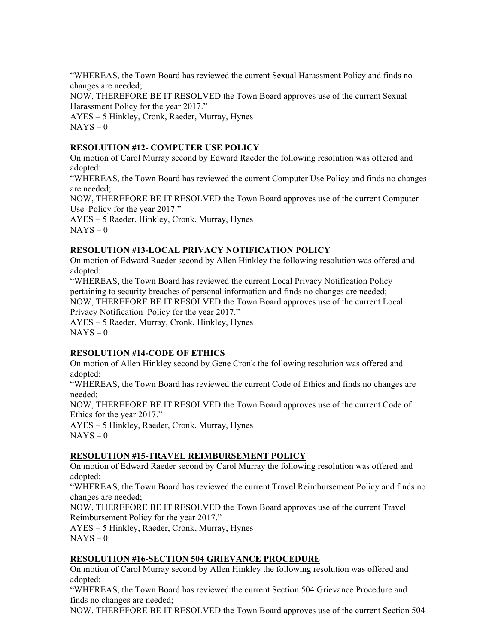"WHEREAS, the Town Board has reviewed the current Sexual Harassment Policy and finds no changes are needed;

NOW, THEREFORE BE IT RESOLVED the Town Board approves use of the current Sexual Harassment Policy for the year 2017."

AYES – 5 Hinkley, Cronk, Raeder, Murray, Hynes  $NAYS - 0$ 

## **RESOLUTION #12- COMPUTER USE POLICY**

On motion of Carol Murray second by Edward Raeder the following resolution was offered and adopted:

"WHEREAS, the Town Board has reviewed the current Computer Use Policy and finds no changes are needed;

NOW, THEREFORE BE IT RESOLVED the Town Board approves use of the current Computer Use Policy for the year 2017."

AYES – 5 Raeder, Hinkley, Cronk, Murray, Hynes  $NAYS - 0$ 

## **RESOLUTION #13-LOCAL PRIVACY NOTIFICATION POLICY**

On motion of Edward Raeder second by Allen Hinkley the following resolution was offered and adopted:

"WHEREAS, the Town Board has reviewed the current Local Privacy Notification Policy pertaining to security breaches of personal information and finds no changes are needed; NOW, THEREFORE BE IT RESOLVED the Town Board approves use of the current Local Privacy Notification Policy for the year 2017."

AYES – 5 Raeder, Murray, Cronk, Hinkley, Hynes  $NAYS - 0$ 

## **RESOLUTION #14-CODE OF ETHICS**

On motion of Allen Hinkley second by Gene Cronk the following resolution was offered and adopted:

"WHEREAS, the Town Board has reviewed the current Code of Ethics and finds no changes are needed;

NOW, THEREFORE BE IT RESOLVED the Town Board approves use of the current Code of Ethics for the year 2017."

AYES – 5 Hinkley, Raeder, Cronk, Murray, Hynes  $NAYS - 0$ 

## **RESOLUTION #15-TRAVEL REIMBURSEMENT POLICY**

On motion of Edward Raeder second by Carol Murray the following resolution was offered and adopted:

"WHEREAS, the Town Board has reviewed the current Travel Reimbursement Policy and finds no changes are needed;

NOW, THEREFORE BE IT RESOLVED the Town Board approves use of the current Travel Reimbursement Policy for the year 2017."

AYES – 5 Hinkley, Raeder, Cronk, Murray, Hynes  $NAYS - 0$ 

## **RESOLUTION #16-SECTION 504 GRIEVANCE PROCEDURE**

On motion of Carol Murray second by Allen Hinkley the following resolution was offered and adopted:

"WHEREAS, the Town Board has reviewed the current Section 504 Grievance Procedure and finds no changes are needed;

NOW, THEREFORE BE IT RESOLVED the Town Board approves use of the current Section 504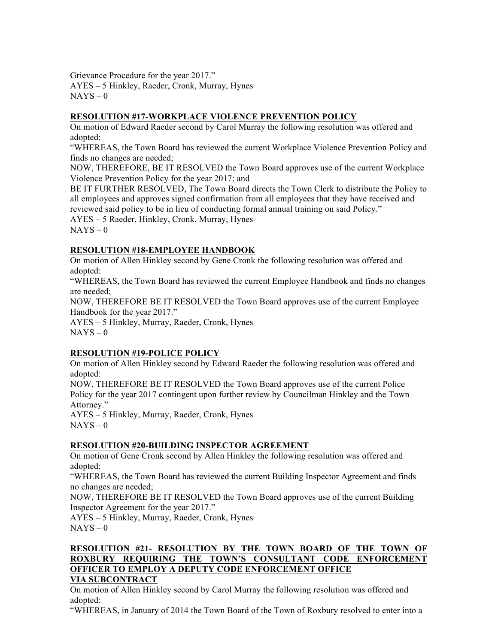Grievance Procedure for the year 2017." AYES – 5 Hinkley, Raeder, Cronk, Murray, Hynes  $NAYS - 0$ 

# **RESOLUTION #17-WORKPLACE VIOLENCE PREVENTION POLICY**

On motion of Edward Raeder second by Carol Murray the following resolution was offered and adopted:

"WHEREAS, the Town Board has reviewed the current Workplace Violence Prevention Policy and finds no changes are needed;

NOW, THEREFORE, BE IT RESOLVED the Town Board approves use of the current Workplace Violence Prevention Policy for the year 2017; and

BE IT FURTHER RESOLVED, The Town Board directs the Town Clerk to distribute the Policy to all employees and approves signed confirmation from all employees that they have received and reviewed said policy to be in lieu of conducting formal annual training on said Policy."

AYES – 5 Raeder, Hinkley, Cronk, Murray, Hynes

 $NAYS - 0$ 

# **RESOLUTION #18-EMPLOYEE HANDBOOK**

On motion of Allen Hinkley second by Gene Cronk the following resolution was offered and adopted:

"WHEREAS, the Town Board has reviewed the current Employee Handbook and finds no changes are needed;

NOW, THEREFORE BE IT RESOLVED the Town Board approves use of the current Employee Handbook for the year 2017."

AYES – 5 Hinkley, Murray, Raeder, Cronk, Hynes  $NAYS - 0$ 

## **RESOLUTION #19-POLICE POLICY**

On motion of Allen Hinkley second by Edward Raeder the following resolution was offered and adopted:

NOW, THEREFORE BE IT RESOLVED the Town Board approves use of the current Police Policy for the year 2017 contingent upon further review by Councilman Hinkley and the Town Attorney."

AYES – 5 Hinkley, Murray, Raeder, Cronk, Hynes  $NAYS - 0$ 

## **RESOLUTION #20-BUILDING INSPECTOR AGREEMENT**

On motion of Gene Cronk second by Allen Hinkley the following resolution was offered and adopted:

"WHEREAS, the Town Board has reviewed the current Building Inspector Agreement and finds no changes are needed;

NOW, THEREFORE BE IT RESOLVED the Town Board approves use of the current Building Inspector Agreement for the year 2017."

AYES – 5 Hinkley, Murray, Raeder, Cronk, Hynes  $NAYS - 0$ 

# **RESOLUTION #21- RESOLUTION BY THE TOWN BOARD OF THE TOWN OF ROXBURY REQUIRING THE TOWN'S CONSULTANT CODE ENFORCEMENT OFFICER TO EMPLOY A DEPUTY CODE ENFORCEMENT OFFICE**

## **VIA SUBCONTRACT**

On motion of Allen Hinkley second by Carol Murray the following resolution was offered and adopted:

"WHEREAS, in January of 2014 the Town Board of the Town of Roxbury resolved to enter into a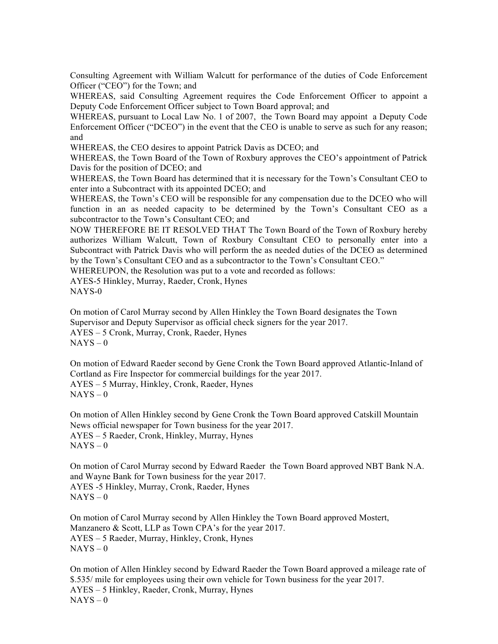Consulting Agreement with William Walcutt for performance of the duties of Code Enforcement Officer ("CEO") for the Town; and

WHEREAS, said Consulting Agreement requires the Code Enforcement Officer to appoint a Deputy Code Enforcement Officer subject to Town Board approval; and

WHEREAS, pursuant to Local Law No. 1 of 2007, the Town Board may appoint a Deputy Code Enforcement Officer ("DCEO") in the event that the CEO is unable to serve as such for any reason; and

WHEREAS, the CEO desires to appoint Patrick Davis as DCEO; and

WHEREAS, the Town Board of the Town of Roxbury approves the CEO's appointment of Patrick Davis for the position of DCEO; and

WHEREAS, the Town Board has determined that it is necessary for the Town's Consultant CEO to enter into a Subcontract with its appointed DCEO; and

WHEREAS, the Town's CEO will be responsible for any compensation due to the DCEO who will function in an as needed capacity to be determined by the Town's Consultant CEO as a subcontractor to the Town's Consultant CEO; and

NOW THEREFORE BE IT RESOLVED THAT The Town Board of the Town of Roxbury hereby authorizes William Walcutt, Town of Roxbury Consultant CEO to personally enter into a Subcontract with Patrick Davis who will perform the as needed duties of the DCEO as determined by the Town's Consultant CEO and as a subcontractor to the Town's Consultant CEO."

WHEREUPON, the Resolution was put to a vote and recorded as follows:

AYES-5 Hinkley, Murray, Raeder, Cronk, Hynes NAYS-0

On motion of Carol Murray second by Allen Hinkley the Town Board designates the Town Supervisor and Deputy Supervisor as official check signers for the year 2017. AYES – 5 Cronk, Murray, Cronk, Raeder, Hynes  $NAYS - 0$ 

On motion of Edward Raeder second by Gene Cronk the Town Board approved Atlantic-Inland of Cortland as Fire Inspector for commercial buildings for the year 2017. AYES – 5 Murray, Hinkley, Cronk, Raeder, Hynes  $NAYS - 0$ 

On motion of Allen Hinkley second by Gene Cronk the Town Board approved Catskill Mountain News official newspaper for Town business for the year 2017. AYES – 5 Raeder, Cronk, Hinkley, Murray, Hynes  $NAYS - 0$ 

On motion of Carol Murray second by Edward Raeder the Town Board approved NBT Bank N.A. and Wayne Bank for Town business for the year 2017. AYES -5 Hinkley, Murray, Cronk, Raeder, Hynes  $NAYS - 0$ 

On motion of Carol Murray second by Allen Hinkley the Town Board approved Mostert, Manzanero & Scott, LLP as Town CPA's for the year 2017. AYES – 5 Raeder, Murray, Hinkley, Cronk, Hynes  $NAYS - 0$ 

On motion of Allen Hinkley second by Edward Raeder the Town Board approved a mileage rate of \$.535/ mile for employees using their own vehicle for Town business for the year 2017. AYES – 5 Hinkley, Raeder, Cronk, Murray, Hynes  $NAYS - 0$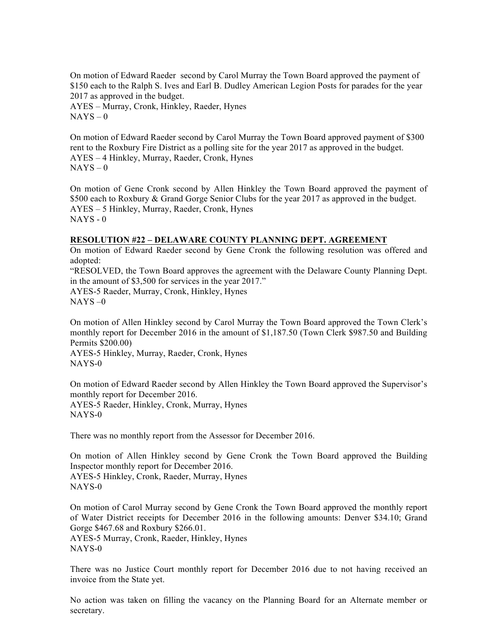On motion of Edward Raeder second by Carol Murray the Town Board approved the payment of \$150 each to the Ralph S. Ives and Earl B. Dudley American Legion Posts for parades for the year 2017 as approved in the budget.

AYES – Murray, Cronk, Hinkley, Raeder, Hynes  $NAYS - 0$ 

On motion of Edward Raeder second by Carol Murray the Town Board approved payment of \$300 rent to the Roxbury Fire District as a polling site for the year 2017 as approved in the budget. AYES – 4 Hinkley, Murray, Raeder, Cronk, Hynes  $NAYS - 0$ 

On motion of Gene Cronk second by Allen Hinkley the Town Board approved the payment of \$500 each to Roxbury & Grand Gorge Senior Clubs for the year 2017 as approved in the budget. AYES – 5 Hinkley, Murray, Raeder, Cronk, Hynes NAYS - 0

#### **RESOLUTION #22 – DELAWARE COUNTY PLANNING DEPT. AGREEMENT**

On motion of Edward Raeder second by Gene Cronk the following resolution was offered and adopted: "RESOLVED, the Town Board approves the agreement with the Delaware County Planning Dept. in the amount of \$3,500 for services in the year 2017." AYES-5 Raeder, Murray, Cronk, Hinkley, Hynes  $NAYS = 0$ 

On motion of Allen Hinkley second by Carol Murray the Town Board approved the Town Clerk's monthly report for December 2016 in the amount of \$1,187.50 (Town Clerk \$987.50 and Building Permits \$200.00) AYES-5 Hinkley, Murray, Raeder, Cronk, Hynes NAYS-0

On motion of Edward Raeder second by Allen Hinkley the Town Board approved the Supervisor's monthly report for December 2016. AYES-5 Raeder, Hinkley, Cronk, Murray, Hynes NAYS-0

There was no monthly report from the Assessor for December 2016.

On motion of Allen Hinkley second by Gene Cronk the Town Board approved the Building Inspector monthly report for December 2016. AYES-5 Hinkley, Cronk, Raeder, Murray, Hynes NAYS-0

On motion of Carol Murray second by Gene Cronk the Town Board approved the monthly report of Water District receipts for December 2016 in the following amounts: Denver \$34.10; Grand Gorge \$467.68 and Roxbury \$266.01.

AYES-5 Murray, Cronk, Raeder, Hinkley, Hynes NAYS-0

There was no Justice Court monthly report for December 2016 due to not having received an invoice from the State yet.

No action was taken on filling the vacancy on the Planning Board for an Alternate member or secretary.